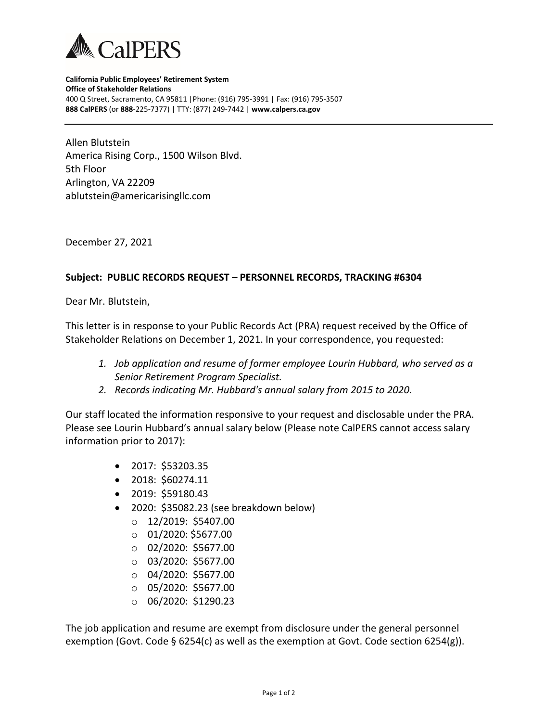

**California Public Employees' Retirement System Office of Stakeholder Relations** 400 Q Street, Sacramento, CA 95811 |Phone: (916) 795-3991 | Fax: (916) 795-3507 **888 CalPERS** (or **888**-225-7377) | TTY: (877) 249-7442 | **www.calpers.ca.gov**

Allen Blutstein America Rising Corp., 1500 Wilson Blvd. 5th Floor Arlington, VA 22209 ablutstein@americarisingllc.com

December 27, 2021

## **Subject: PUBLIC RECORDS REQUEST – PERSONNEL RECORDS, TRACKING #6304**

Dear Mr. Blutstein,

This letter is in response to your Public Records Act (PRA) request received by the Office of Stakeholder Relations on December 1, 2021. In your correspondence, you requested:

- *1. Job application and resume of former employee Lourin Hubbard, who served as a Senior Retirement Program Specialist.*
- *2. Records indicating Mr. Hubbard's annual salary from 2015 to 2020.*

Our staff located the information responsive to your request and disclosable under the PRA. Please see Lourin Hubbard's annual salary below (Please note CalPERS cannot access salary information prior to 2017):

- 2017: \$53203.35
- 2018: \$60274.11
- 2019: \$59180.43
- 2020: \$35082.23 (see breakdown below)
	- o 12/2019: \$5407.00
	- $\circ$  01/2020: \$5677.00
	- o 02/2020: \$5677.00
	- o 03/2020: \$5677.00
	- $\circ$  04/2020: \$5677.00
	- o 05/2020: \$5677.00
	- o 06/2020: \$1290.23

The job application and resume are exempt from disclosure under the general personnel exemption (Govt. Code § 6254(c) as well as the exemption at Govt. Code section 6254(g)).